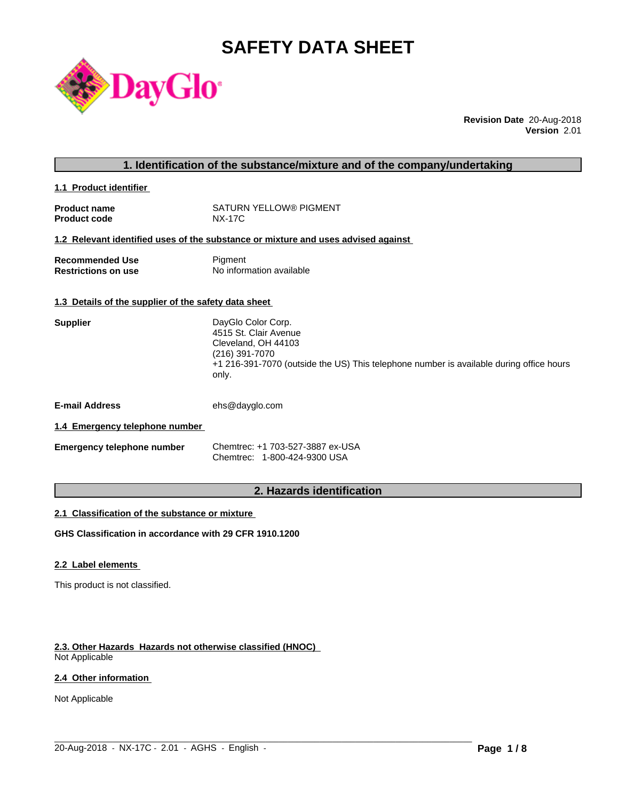# **SAFETY DATA SHEET**



**Revision Date** 20-Aug-2018 **Version** 2.01

|  | 1. Identification of the substance/mixture and of the company/undertaking |  |
|--|---------------------------------------------------------------------------|--|
|--|---------------------------------------------------------------------------|--|

**1.1 Product identifier** 

| <b>Product name</b> | SATURN YELLOW® PIGMENT |
|---------------------|------------------------|
| <b>Product code</b> | NX-17C                 |

# **1.2 Relevant identified uses of the substance or mixture and uses advised against**

| <b>Recommended Use</b>     | Pigment                  |
|----------------------------|--------------------------|
| <b>Restrictions on use</b> | No information available |

# **1.3 Details of the supplier of the safety data sheet**

| <b>Supplier</b> | DayGlo Color Corp.                                                                               |
|-----------------|--------------------------------------------------------------------------------------------------|
|                 | 4515 St. Clair Avenue                                                                            |
|                 | Cleveland, OH 44103                                                                              |
|                 | (216) 391-7070                                                                                   |
|                 | +1 216-391-7070 (outside the US) This telephone number is available during office hours<br>only. |

**E-mail Address** ehs@dayglo.com

# **1.4 Emergency telephone number**

| <b>Emergency telephone number</b> | Chemtrec: +1 703-527-3887 ex-USA |
|-----------------------------------|----------------------------------|
|                                   | Chemtrec: 1-800-424-9300 USA     |

# **2. Hazards identification**

 $\_$  ,  $\_$  ,  $\_$  ,  $\_$  ,  $\_$  ,  $\_$  ,  $\_$  ,  $\_$  ,  $\_$  ,  $\_$  ,  $\_$  ,  $\_$  ,  $\_$  ,  $\_$  ,  $\_$  ,  $\_$  ,  $\_$  ,  $\_$  ,  $\_$  ,  $\_$  ,  $\_$  ,  $\_$  ,  $\_$  ,  $\_$  ,  $\_$  ,  $\_$  ,  $\_$  ,  $\_$  ,  $\_$  ,  $\_$  ,  $\_$  ,  $\_$  ,  $\_$  ,  $\_$  ,  $\_$  ,  $\_$  ,  $\_$  ,

# **2.1 Classification of the substance or mixture**

**GHS Classification in accordance with 29 CFR 1910.1200**

# **2.2 Label elements**

This product is not classified.

# **2.3. Other Hazards Hazards not otherwise classified (HNOC)**

Not Applicable

# **2.4 Other information**

Not Applicable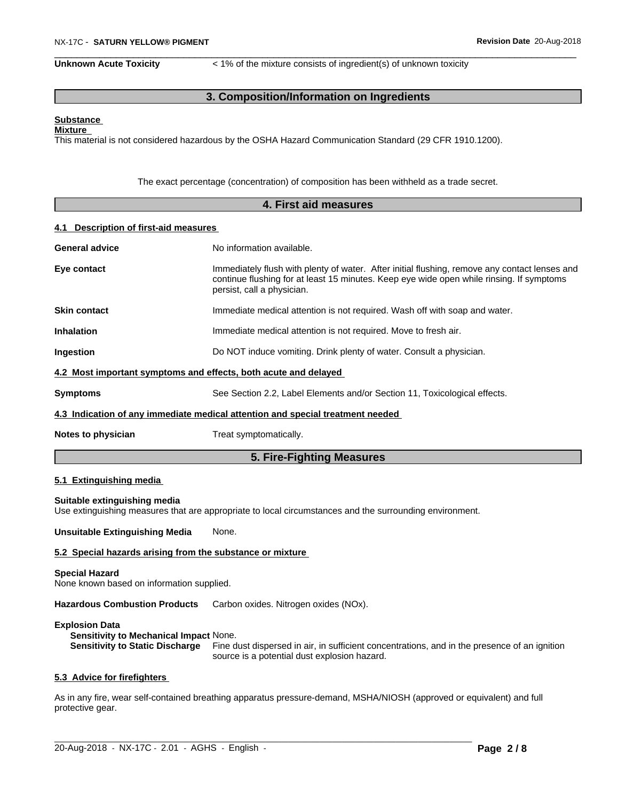**Unknown Acute Toxicity**  $\lt$  1% of the mixture consists of ingredient(s) of unknown toxicity

# **3. Composition/Information on Ingredients**

#### **Substance Mixture**

This material is not considered hazardous by the OSHA Hazard Communication Standard (29 CFR 1910.1200).

The exact percentage (concentration) of composition has been withheld as a trade secret.

|                                       | 4. First aid measures                                                                                                                                                                                                   |
|---------------------------------------|-------------------------------------------------------------------------------------------------------------------------------------------------------------------------------------------------------------------------|
| 4.1 Description of first-aid measures |                                                                                                                                                                                                                         |
| <b>General advice</b>                 | No information available.                                                                                                                                                                                               |
| Eye contact                           | Immediately flush with plenty of water. After initial flushing, remove any contact lenses and<br>continue flushing for at least 15 minutes. Keep eye wide open while rinsing. If symptoms<br>persist, call a physician. |
| <b>Skin contact</b>                   | Immediate medical attention is not required. Wash off with soap and water.                                                                                                                                              |
| <b>Inhalation</b>                     | Immediate medical attention is not required. Move to fresh air.                                                                                                                                                         |
| Ingestion                             | Do NOT induce vomiting. Drink plenty of water. Consult a physician.                                                                                                                                                     |
|                                       | 4.2 Most important symptoms and effects, both acute and delayed                                                                                                                                                         |
| <b>Symptoms</b>                       | See Section 2.2, Label Elements and/or Section 11, Toxicological effects.                                                                                                                                               |
|                                       | 4.3 Indication of any immediate medical attention and special treatment needed                                                                                                                                          |
| Notes to physician                    | Treat symptomatically.                                                                                                                                                                                                  |
|                                       | 5. Fire-Fighting Measures                                                                                                                                                                                               |
| 5.1 Extinguishing media               |                                                                                                                                                                                                                         |
| Suitable extinguishing media          | Use extinguishing measures that are appropriate to local circumstances and the surrounding environment.                                                                                                                 |
| <b>Unsuitable Extinguishing Media</b> | None.                                                                                                                                                                                                                   |
|                                       | 5.2 Special hazards arising from the substance or mixture                                                                                                                                                               |
| <b>Special Hazard</b>                 |                                                                                                                                                                                                                         |

None known based on information supplied.

**Hazardous Combustion Products** Carbon oxides. Nitrogen oxides (NOx).

# **Explosion Data**

**Sensitivity to Mechanical Impact** None.

Fine dust dispersed in air, in sufficient concentrations, and in the presence of an ignition source is a potential dust explosion hazard.

#### **5.3 Advice for firefighters**

As in any fire, wear self-contained breathing apparatus pressure-demand, MSHA/NIOSH (approved or equivalent) and full protective gear.

 $\_$  ,  $\_$  ,  $\_$  ,  $\_$  ,  $\_$  ,  $\_$  ,  $\_$  ,  $\_$  ,  $\_$  ,  $\_$  ,  $\_$  ,  $\_$  ,  $\_$  ,  $\_$  ,  $\_$  ,  $\_$  ,  $\_$  ,  $\_$  ,  $\_$  ,  $\_$  ,  $\_$  ,  $\_$  ,  $\_$  ,  $\_$  ,  $\_$  ,  $\_$  ,  $\_$  ,  $\_$  ,  $\_$  ,  $\_$  ,  $\_$  ,  $\_$  ,  $\_$  ,  $\_$  ,  $\_$  ,  $\_$  ,  $\_$  ,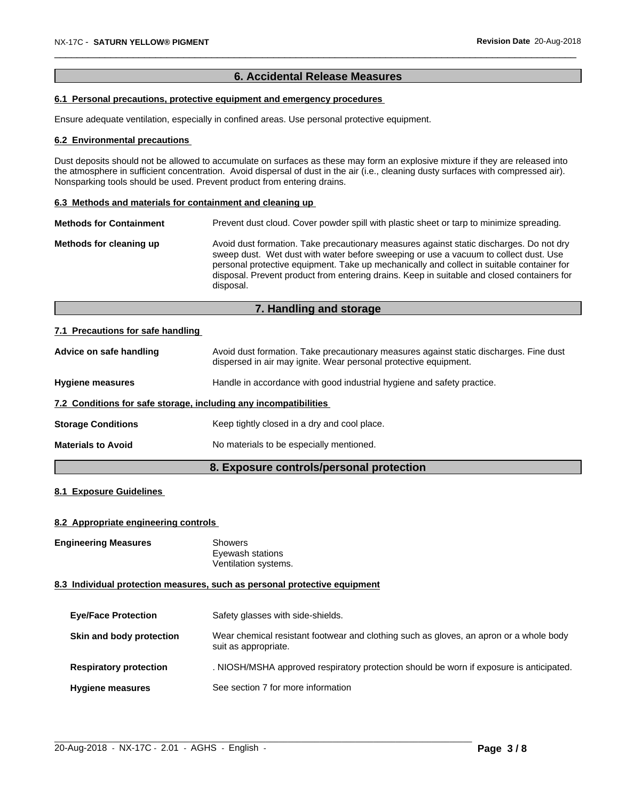# **6. Accidental Release Measures**

# **6.1 Personal precautions, protective equipment and emergency procedures**

Ensure adequate ventilation, especially in confined areas. Use personal protective equipment.

#### **6.2 Environmental precautions**

Dust deposits should not be allowed to accumulate on surfaces as these may form an explosive mixture if they are released into the atmosphere in sufficient concentration. Avoid dispersal of dust in the air (i.e., cleaning dusty surfaces with compressed air). Nonsparking tools should be used. Prevent product from entering drains.

#### **6.3 Methods and materials for containment and cleaning up**

|                                                                                                                                                                                                                                                                                                                                                                                                                    | <b>Methods for Containment</b> | Prevent dust cloud. Cover powder spill with plastic sheet or tarp to minimize spreading. |
|--------------------------------------------------------------------------------------------------------------------------------------------------------------------------------------------------------------------------------------------------------------------------------------------------------------------------------------------------------------------------------------------------------------------|--------------------------------|------------------------------------------------------------------------------------------|
| Avoid dust formation. Take precautionary measures against static discharges. Do not dry<br>Methods for cleaning up<br>sweep dust. Wet dust with water before sweeping or use a vacuum to collect dust. Use<br>personal protective equipment. Take up mechanically and collect in suitable container for<br>disposal. Prevent product from entering drains. Keep in suitable and closed containers for<br>disposal. |                                |                                                                                          |

# **7. Handling and storage**

#### **7.1 Precautions for safe handling**

| Advice on safe handling                                          | Avoid dust formation. Take precautionary measures against static discharges. Fine dust<br>dispersed in air may ignite. Wear personal protective equipment. |  |  |
|------------------------------------------------------------------|------------------------------------------------------------------------------------------------------------------------------------------------------------|--|--|
| <b>Hygiene measures</b>                                          | Handle in accordance with good industrial hygiene and safety practice.                                                                                     |  |  |
| 7.2 Conditions for safe storage, including any incompatibilities |                                                                                                                                                            |  |  |
| <b>Storage Conditions</b>                                        | Keep tightly closed in a dry and cool place.                                                                                                               |  |  |
| <b>Materials to Avoid</b>                                        | No materials to be especially mentioned.                                                                                                                   |  |  |
|                                                                  |                                                                                                                                                            |  |  |

# **8. Exposure controls/personal protection**

# **8.1 Exposure Guidelines**

#### **8.2 Appropriate engineering controls**

**Engineering Measures** Showers

Eyewash stations Ventilation systems.

# **8.3 Individual protection measures, such as personal protective equipment**

| <b>Eye/Face Protection</b>    | Safety glasses with side-shields.                                                                              |
|-------------------------------|----------------------------------------------------------------------------------------------------------------|
| Skin and body protection      | Wear chemical resistant footwear and clothing such as gloves, an apron or a whole body<br>suit as appropriate. |
| <b>Respiratory protection</b> | . NIOSH/MSHA approved respiratory protection should be worn if exposure is anticipated.                        |
| <b>Hygiene measures</b>       | See section 7 for more information                                                                             |

 $\_$  ,  $\_$  ,  $\_$  ,  $\_$  ,  $\_$  ,  $\_$  ,  $\_$  ,  $\_$  ,  $\_$  ,  $\_$  ,  $\_$  ,  $\_$  ,  $\_$  ,  $\_$  ,  $\_$  ,  $\_$  ,  $\_$  ,  $\_$  ,  $\_$  ,  $\_$  ,  $\_$  ,  $\_$  ,  $\_$  ,  $\_$  ,  $\_$  ,  $\_$  ,  $\_$  ,  $\_$  ,  $\_$  ,  $\_$  ,  $\_$  ,  $\_$  ,  $\_$  ,  $\_$  ,  $\_$  ,  $\_$  ,  $\_$  ,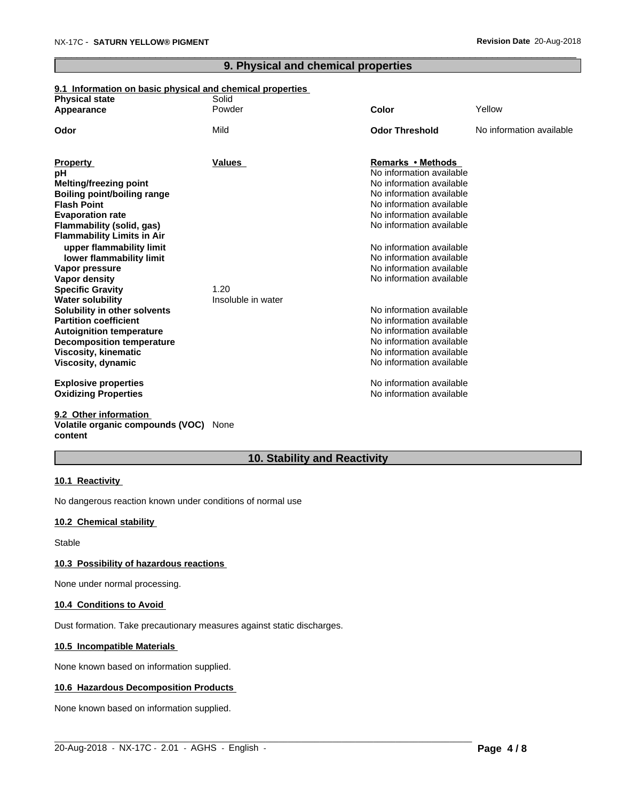# **9. Physical and chemical properties**

# **9.1 Information on basic physical and chemical properties**

| <b>Physical state</b>             | Solid              |                                                      |                          |
|-----------------------------------|--------------------|------------------------------------------------------|--------------------------|
| Appearance                        | Powder             | Color                                                | Yellow                   |
| Odor                              | Mild               | <b>Odor Threshold</b>                                | No information available |
|                                   |                    |                                                      |                          |
| <b>Property</b>                   | <b>Values</b>      | Remarks • Methods                                    |                          |
| рH                                |                    | No information available                             |                          |
| <b>Melting/freezing point</b>     |                    | No information available                             |                          |
| Boiling point/boiling range       |                    | No information available<br>No information available |                          |
| <b>Flash Point</b>                |                    |                                                      |                          |
| <b>Evaporation rate</b>           |                    | No information available<br>No information available |                          |
| Flammability (solid, gas)         |                    |                                                      |                          |
| <b>Flammability Limits in Air</b> |                    |                                                      |                          |
| upper flammability limit          |                    | No information available                             |                          |
| lower flammability limit          |                    | No information available                             |                          |
| Vapor pressure                    |                    | No information available                             |                          |
| Vapor density                     |                    | No information available                             |                          |
| <b>Specific Gravity</b>           | 1.20               |                                                      |                          |
| <b>Water solubility</b>           | Insoluble in water |                                                      |                          |
| Solubility in other solvents      |                    | No information available                             |                          |
| <b>Partition coefficient</b>      |                    | No information available                             |                          |
| <b>Autoignition temperature</b>   |                    | No information available                             |                          |
| <b>Decomposition temperature</b>  |                    | No information available                             |                          |
| <b>Viscosity, kinematic</b>       |                    | No information available                             |                          |
| Viscosity, dynamic                |                    | No information available                             |                          |
| <b>Explosive properties</b>       |                    | No information available                             |                          |
| <b>Oxidizing Properties</b>       |                    | No information available                             |                          |
| 9.2 Other information             |                    |                                                      |                          |

# **Volatile organic compounds (VOC)** None **content**

# **10. Stability and Reactivity**

 $\_$  ,  $\_$  ,  $\_$  ,  $\_$  ,  $\_$  ,  $\_$  ,  $\_$  ,  $\_$  ,  $\_$  ,  $\_$  ,  $\_$  ,  $\_$  ,  $\_$  ,  $\_$  ,  $\_$  ,  $\_$  ,  $\_$  ,  $\_$  ,  $\_$  ,  $\_$  ,  $\_$  ,  $\_$  ,  $\_$  ,  $\_$  ,  $\_$  ,  $\_$  ,  $\_$  ,  $\_$  ,  $\_$  ,  $\_$  ,  $\_$  ,  $\_$  ,  $\_$  ,  $\_$  ,  $\_$  ,  $\_$  ,  $\_$  ,

# **10.1 Reactivity**

No dangerous reaction known under conditions of normal use

# **10.2 Chemical stability**

Stable

# **10.3 Possibility of hazardous reactions**

None under normal processing.

# **10.4 Conditions to Avoid**

Dust formation. Take precautionary measures against static discharges.

# **10.5 Incompatible Materials**

None known based on information supplied.

# **10.6 Hazardous Decomposition Products**

None known based on information supplied.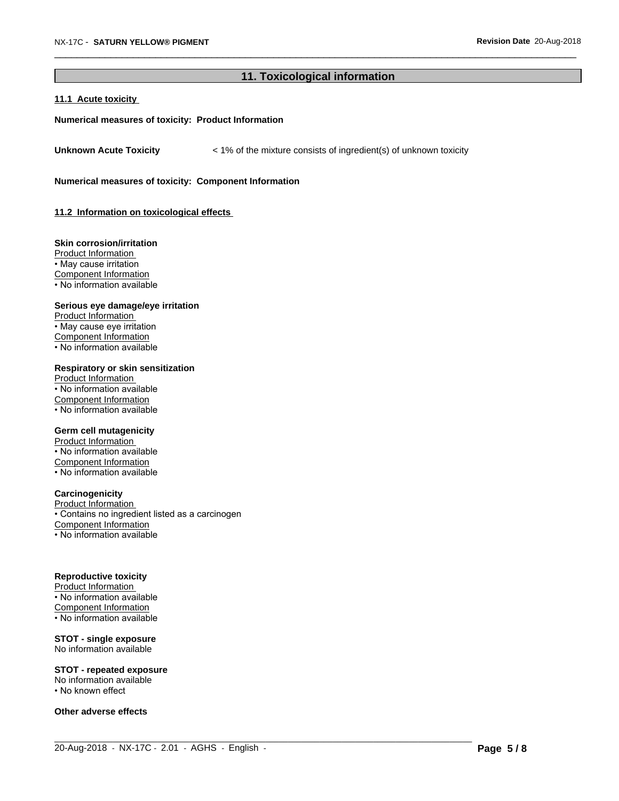# **11. Toxicological information**

 $\_$  ,  $\_$  ,  $\_$  ,  $\_$  ,  $\_$  ,  $\_$  ,  $\_$  ,  $\_$  ,  $\_$  ,  $\_$  ,  $\_$  ,  $\_$  ,  $\_$  ,  $\_$  ,  $\_$  ,  $\_$  ,  $\_$  ,  $\_$  ,  $\_$  ,  $\_$  ,  $\_$  ,  $\_$  ,  $\_$  ,  $\_$  ,  $\_$  ,  $\_$  ,  $\_$  ,  $\_$  ,  $\_$  ,  $\_$  ,  $\_$  ,  $\_$  ,  $\_$  ,  $\_$  ,  $\_$  ,  $\_$  ,  $\_$  ,

# **11.1 Acute toxicity**

# **Numerical measures of toxicity: Product Information**

Unknown Acute Toxicity  $\lt$  1% of the mixture consists of ingredient(s) of unknown toxicity

**Numerical measures of toxicity: Component Information**

**11.2 Information on toxicologicaleffects**

#### **Skin corrosion/irritation**

Product Information • May cause irritation Component Information • No information available

# **Serious eye damage/eye irritation**

Product Information • May cause eye irritation Component Information • No information available

# **Respiratory or skin sensitization**

Product Information • No information available Component Information • No information available

#### **Germ cell mutagenicity**

Product Information • No information available Component Information • No information available

#### **Carcinogenicity**

Product Information • Contains no ingredient listed as a carcinogen Component Information • No information available

#### **Reproductive toxicity**

Product Information • No information available Component Information • No information available

# **STOT - single exposure**

No information available

#### **STOT - repeated exposure**

No information available

• No known effect

**Other adverse effects**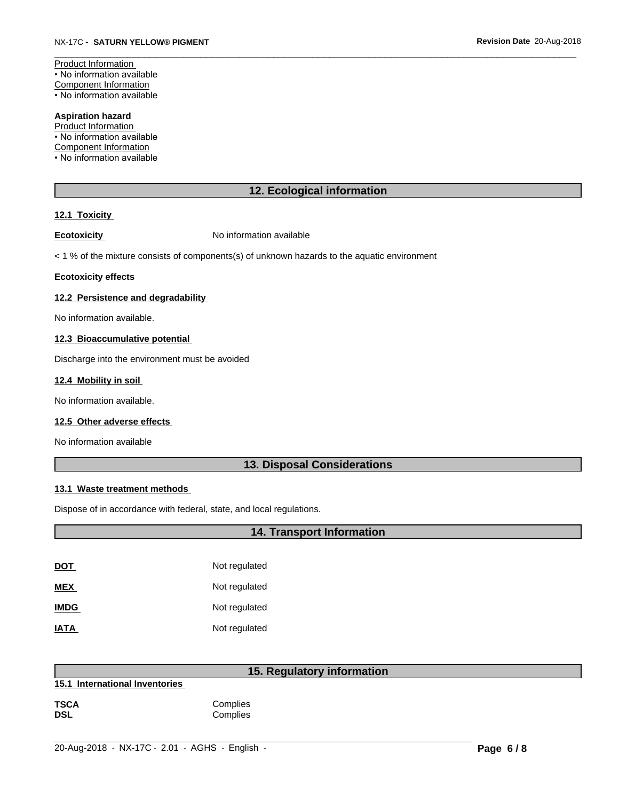Product Information • No information available Component Information • No information available

# **Aspiration hazard**

Product Information • No information available

Component Information

• No information available

# **12. Ecological information**

# **12.1 Toxicity**

**Ecotoxicity No information available** 

 $<$  1 % of the mixture consists of components(s) of unknown hazards to the aquatic environment

#### **Ecotoxicity effects**

# **12.2 Persistence and degradability**

No information available.

# **12.3 Bioaccumulative potential**

Discharge into the environment must be avoided

# **12.4 Mobility in soil**

No information available.

#### **12.5 Other adverse effects**

No information available

# **13. Disposal Considerations**

# **13.1 Waste treatment methods**

Dispose of in accordance with federal, state, and local regulations.

| <b>14. Transport Information</b> |               |  |
|----------------------------------|---------------|--|
|                                  |               |  |
| <u>DOT</u>                       | Not regulated |  |
| <b>MEX</b>                       | Not regulated |  |
| <b>IMDG</b>                      | Not regulated |  |
| <b>IATA</b>                      | Not regulated |  |

 $\_$  ,  $\_$  ,  $\_$  ,  $\_$  ,  $\_$  ,  $\_$  ,  $\_$  ,  $\_$  ,  $\_$  ,  $\_$  ,  $\_$  ,  $\_$  ,  $\_$  ,  $\_$  ,  $\_$  ,  $\_$  ,  $\_$  ,  $\_$  ,  $\_$  ,  $\_$  ,  $\_$  ,  $\_$  ,  $\_$  ,  $\_$  ,  $\_$  ,  $\_$  ,  $\_$  ,  $\_$  ,  $\_$  ,  $\_$  ,  $\_$  ,  $\_$  ,  $\_$  ,  $\_$  ,  $\_$  ,  $\_$  ,  $\_$  ,

# **15. Regulatory information 15.1 International Inventories**

| <b>TSCA</b> | Complies |
|-------------|----------|
| <b>DSL</b>  | Complies |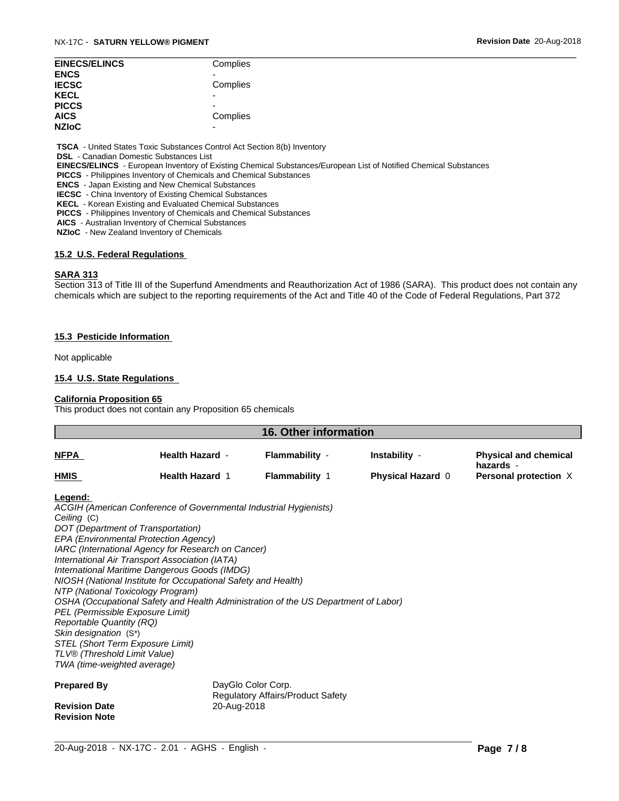| <b>EINECS/ELINCS</b> | Complies |
|----------------------|----------|
| <b>ENCS</b>          | -        |
| <b>IECSC</b>         | Complies |
| <b>KECL</b>          | ۰        |
| <b>PICCS</b>         | -        |
| <b>AICS</b>          | Complies |
| <b>NZIOC</b>         | -        |

 **TSCA** - United States Toxic Substances Control Act Section 8(b) Inventory

 **DSL** - Canadian Domestic Substances List

 **EINECS/ELINCS** - European Inventory of Existing Chemical Substances/European List of Notified Chemical Substances

 **PICCS** - Philippines Inventory of Chemicals and Chemical Substances

 **ENCS** - Japan Existing and New Chemical Substances

 **IECSC** - China Inventory of Existing Chemical Substances

 **KECL** - Korean Existing and Evaluated Chemical Substances

 **PICCS** - Philippines Inventory of Chemicals and Chemical Substances

 **AICS** - Australian Inventory of Chemical Substances

 **NZIoC** - New Zealand Inventory of Chemicals

# **15.2 U.S. Federal Regulations**

#### **SARA 313**

Section 313 of Title III of the Superfund Amendments and Reauthorization Act of 1986 (SARA). This product does not contain any chemicals which are subject to the reporting requirements of the Act and Title 40 of the Code of Federal Regulations, Part 372

#### **15.3 Pesticide Information**

Not applicable

# **15.4 U.S. State Regulations**

### **California Proposition 65**

This product does not contain any Proposition 65 chemicals

| <b>16. Other information</b>     |                                                                                                    |                                          |                   |                                           |
|----------------------------------|----------------------------------------------------------------------------------------------------|------------------------------------------|-------------------|-------------------------------------------|
| <b>NFPA</b>                      | <b>Health Hazard -</b>                                                                             | <b>Flammability -</b>                    | Instability -     | <b>Physical and chemical</b><br>hazards - |
| <b>HMIS</b>                      | <b>Health Hazard 1</b>                                                                             | <b>Flammability 1</b>                    | Physical Hazard 0 | Personal protection X                     |
| Legend:                          |                                                                                                    |                                          |                   |                                           |
|                                  | ACGIH (American Conference of Governmental Industrial Hygienists)                                  |                                          |                   |                                           |
| Ceiling (C)                      |                                                                                                    |                                          |                   |                                           |
|                                  | DOT (Department of Transportation)                                                                 |                                          |                   |                                           |
|                                  | EPA (Environmental Protection Agency)                                                              |                                          |                   |                                           |
|                                  | IARC (International Agency for Research on Cancer)                                                 |                                          |                   |                                           |
|                                  | International Air Transport Association (IATA)                                                     |                                          |                   |                                           |
|                                  | International Maritime Dangerous Goods (IMDG)                                                      |                                          |                   |                                           |
|                                  | NIOSH (National Institute for Occupational Safety and Health)<br>NTP (National Toxicology Program) |                                          |                   |                                           |
|                                  | OSHA (Occupational Safety and Health Administration of the US Department of Labor)                 |                                          |                   |                                           |
| PEL (Permissible Exposure Limit) |                                                                                                    |                                          |                   |                                           |
| <b>Reportable Quantity (RQ)</b>  |                                                                                                    |                                          |                   |                                           |
| Skin designation (S*)            |                                                                                                    |                                          |                   |                                           |
| STEL (Short Term Exposure Limit) |                                                                                                    |                                          |                   |                                           |
| TLV® (Threshold Limit Value)     |                                                                                                    |                                          |                   |                                           |
| TWA (time-weighted average)      |                                                                                                    |                                          |                   |                                           |
| <b>Prepared By</b>               |                                                                                                    | DayGlo Color Corp.                       |                   |                                           |
|                                  |                                                                                                    | <b>Regulatory Affairs/Product Safety</b> |                   |                                           |
| <b>Revision Date</b>             | 20-Aug-2018                                                                                        |                                          |                   |                                           |
| <b>Revision Note</b>             |                                                                                                    |                                          |                   |                                           |

 $\_$  ,  $\_$  ,  $\_$  ,  $\_$  ,  $\_$  ,  $\_$  ,  $\_$  ,  $\_$  ,  $\_$  ,  $\_$  ,  $\_$  ,  $\_$  ,  $\_$  ,  $\_$  ,  $\_$  ,  $\_$  ,  $\_$  ,  $\_$  ,  $\_$  ,  $\_$  ,  $\_$  ,  $\_$  ,  $\_$  ,  $\_$  ,  $\_$  ,  $\_$  ,  $\_$  ,  $\_$  ,  $\_$  ,  $\_$  ,  $\_$  ,  $\_$  ,  $\_$  ,  $\_$  ,  $\_$  ,  $\_$  ,  $\_$  ,